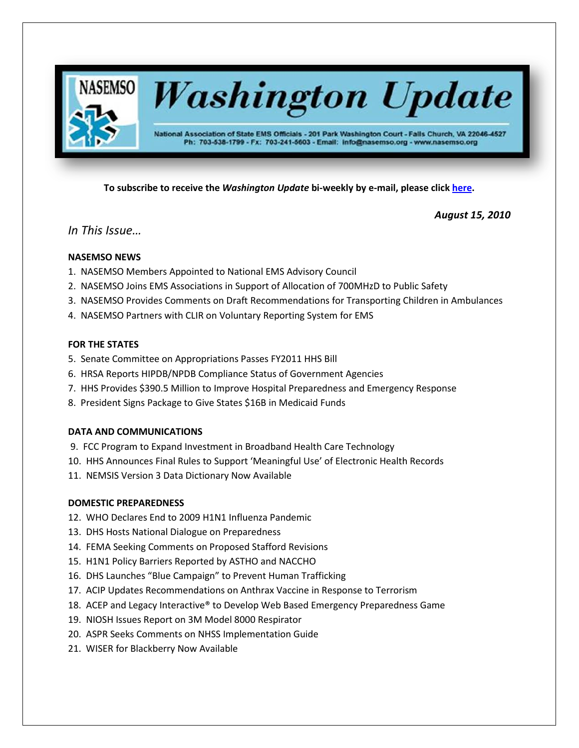

**To subscribe to receive the** *Washington Update* **bi-weekly by e-mail, please click [here.](http://lists.nasemso.org/read/all_forums/subscribe?name=wu%20)**

*August 15, 2010*

# *In This Issue…*

# **NASEMSO NEWS**

- 1. NASEMSO Members Appointed to National EMS Advisory Council
- 2. NASEMSO Joins EMS Associations in Support of Allocation of 700MHzD to Public Safety
- 3. NASEMSO Provides Comments on Draft Recommendations for Transporting Children in Ambulances
- 4. NASEMSO Partners with CLIR on Voluntary Reporting System for EMS

# **FOR THE STATES**

- 5. Senate Committee on Appropriations Passes FY2011 HHS Bill
- 6. HRSA Reports HIPDB/NPDB Compliance Status of Government Agencies
- 7. HHS Provides \$390.5 Million to Improve Hospital Preparedness and Emergency Response
- 8. President Signs Package to Give States \$16B in Medicaid Funds

# **DATA AND COMMUNICATIONS**

- 9. FCC Program to Expand Investment in Broadband Health Care Technology
- 10. HHS Announces Final Rules to Support 'Meaningful Use' of Electronic Health Records
- 11. NEMSIS Version 3 Data Dictionary Now Available

# **DOMESTIC PREPAREDNESS**

- 12. WHO Declares End to 2009 H1N1 Influenza Pandemic
- 13. DHS Hosts National Dialogue on Preparedness
- 14. FEMA Seeking Comments on Proposed Stafford Revisions
- 15. H1N1 Policy Barriers Reported by ASTHO and NACCHO
- 16. DHS Launches "Blue Campaign" to Prevent Human Trafficking
- 17. ACIP Updates Recommendations on Anthrax Vaccine in Response to Terrorism
- 18. ACEP and Legacy Interactive® to Develop Web Based Emergency Preparedness Game
- 19. NIOSH Issues Report on 3M Model 8000 Respirator
- 20. ASPR Seeks Comments on NHSS Implementation Guide
- 21. WISER for Blackberry Now Available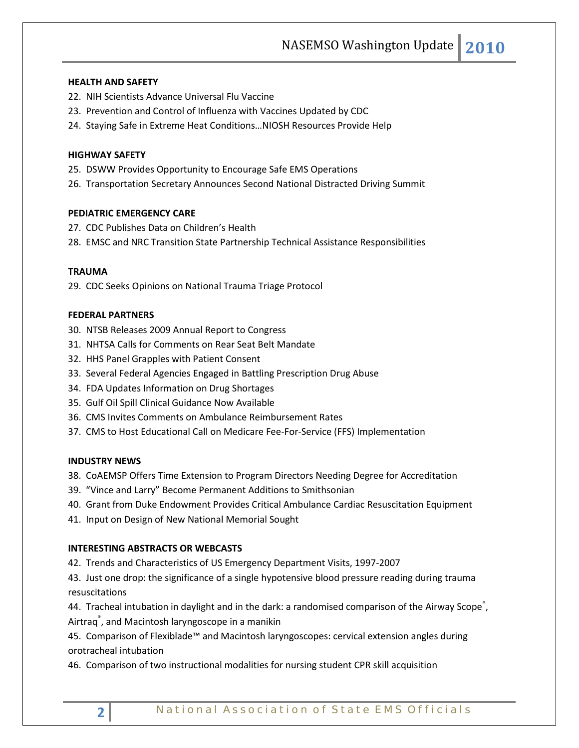# **HEALTH AND SAFETY**

- 22. NIH Scientists Advance Universal Flu Vaccine
- 23. Prevention and Control of Influenza with Vaccines Updated by CDC
- 24. Staying Safe in Extreme Heat Conditions…NIOSH Resources Provide Help

# **HIGHWAY SAFETY**

- 25. DSWW Provides Opportunity to Encourage Safe EMS Operations
- 26. Transportation Secretary Announces Second National Distracted Driving Summit

# **PEDIATRIC EMERGENCY CARE**

- 27. CDC Publishes Data on Children's Health
- 28. EMSC and NRC Transition State Partnership Technical Assistance Responsibilities

## **TRAUMA**

29. CDC Seeks Opinions on National Trauma Triage Protocol

### **FEDERAL PARTNERS**

- 30. NTSB Releases 2009 Annual Report to Congress
- 31. NHTSA Calls for Comments on Rear Seat Belt Mandate
- 32. HHS Panel Grapples with Patient Consent
- 33. Several Federal Agencies Engaged in Battling Prescription Drug Abuse
- 34. FDA Updates Information on Drug Shortages
- 35. Gulf Oil Spill Clinical Guidance Now Available
- 36. CMS Invites Comments on Ambulance Reimbursement Rates
- 37. CMS to Host Educational Call on Medicare Fee-For-Service (FFS) Implementation

### **INDUSTRY NEWS**

- 38. CoAEMSP Offers Time Extension to Program Directors Needing Degree for Accreditation
- 39. "Vince and Larry" Become Permanent Additions to Smithsonian
- 40. Grant from Duke Endowment Provides Critical Ambulance Cardiac Resuscitation Equipment
- 41. Input on Design of New National Memorial Sought

# **INTERESTING ABSTRACTS OR WEBCASTS**

42. Trends and Characteristics of US Emergency Department Visits, 1997-2007

43. Just one drop: the significance of a single hypotensive blood pressure reading during trauma resuscitations

44. Tracheal intubation in daylight and in the dark: a randomised comparison of the Airway Scope<sup>®</sup>, Airtraq<sup>®</sup>, and Macintosh laryngoscope in a manikin

45. Comparison of Flexiblade™ and Macintosh laryngoscopes: cervical extension angles during orotracheal intubation

46. Comparison of two instructional modalities for nursing student CPR skill acquisition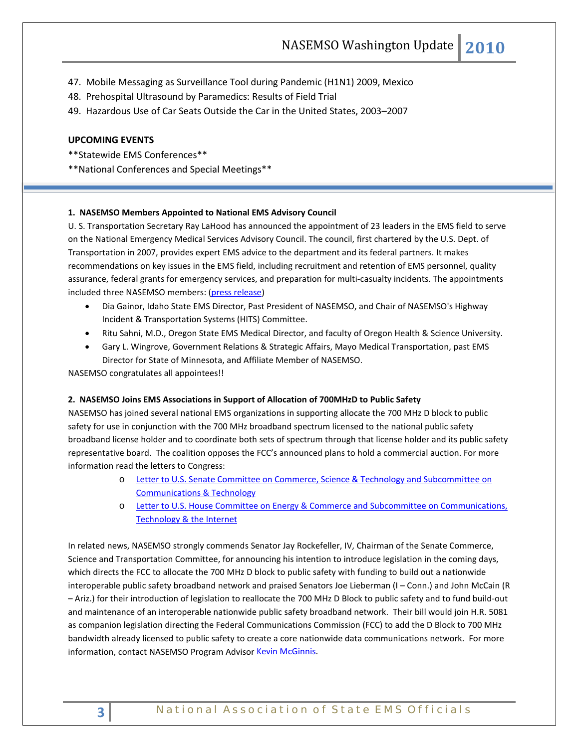47. Mobile Messaging as Surveillance Tool during Pandemic (H1N1) 2009, Mexico

48. Prehospital Ultrasound by Paramedics: Results of Field Trial

49. Hazardous Use of Car Seats Outside the Car in the United States, 2003–2007

## **UPCOMING EVENTS**

\*\*Statewide EMS Conferences\*\*

\*\*National Conferences and Special Meetings\*\*

### **1. NASEMSO Members Appointed to National EMS Advisory Council**

U. S. Transportation Secretary Ray LaHood has announced the appointment of 23 leaders in the EMS field to serve on the National Emergency Medical Services Advisory Council. The council, first chartered by the U.S. Dept. of Transportation in 2007, provides expert EMS advice to the department and its federal partners. It makes recommendations on key issues in the EMS field, including recruitment and retention of EMS personnel, quality assurance, federal grants for emergency services, and preparation for multi-casualty incidents. The appointments included three NASEMSO members: [\(press release\)](http://www.nasemso.org/documents/nemsac.appointments.071710.pdf)

- Dia Gainor, Idaho State EMS Director, Past President of NASEMSO, and Chair of NASEMSO's Highway Incident & Transportation Systems (HITS) Committee.
- Ritu Sahni, M.D., Oregon State EMS Medical Director, and faculty of Oregon Health & Science University.
- Gary L. Wingrove, Government Relations & Strategic Affairs, Mayo Medical Transportation, past EMS Director for State of Minnesota, and Affiliate Member of NASEMSO.

NASEMSO congratulates all appointees!!

#### **2. NASEMSO Joins EMS Associations in Support of Allocation of 700MHzD to Public Safety**

NASEMSO has joined several national EMS organizations in supporting allocate the 700 MHz D block to public safety for use in conjunction with the 700 MHz broadband spectrum licensed to the national public safety broadband license holder and to coordinate both sets of spectrum through that license holder and its public safety representative board. The coalition opposes the FCC's announced plans to hold a commercial auction. For more information read the letters to Congress:

- o [Letter to U.S. Senate Committee on Commerce, Science & Technology and Subcommittee on](http://www.nasemso.org/Projects/CommunicationsTechnology/documents/6-16DBlockSenateJointLetter.pdf)  [Communications & Technology](http://www.nasemso.org/Projects/CommunicationsTechnology/documents/6-16DBlockSenateJointLetter.pdf)
- o [Letter to U.S. House Committee on Energy & Commerce and Subcommittee on Communications,](http://www.nasemso.org/Projects/CommunicationsTechnology/documents/6-16DBlockHouseJointLetter.pdf)  [Technology & the Internet](http://www.nasemso.org/Projects/CommunicationsTechnology/documents/6-16DBlockHouseJointLetter.pdf)

In related news, NASEMSO strongly commends Senator Jay Rockefeller, IV, Chairman of the Senate Commerce, Science and Transportation Committee, for announcing his intention to introduce legislation in the coming days, which directs the FCC to allocate the 700 MHz D block to public safety with funding to build out a nationwide interoperable public safety broadband network and praised Senators Joe Lieberman (I – Conn.) and John McCain (R – Ariz.) for their introduction of legislation to reallocate the 700 MHz D Block to public safety and to fund build-out and maintenance of an interoperable nationwide public safety broadband network. Their bill would join H.R. 5081 as companion legislation directing the Federal Communications Commission (FCC) to add the D Block to 700 MHz bandwidth already licensed to public safety to create a core nationwide data communications network. For more information, contact NASEMSO Program Adviso[r Kevin McGinnis.](mailto:mcginnis@nasemso.org)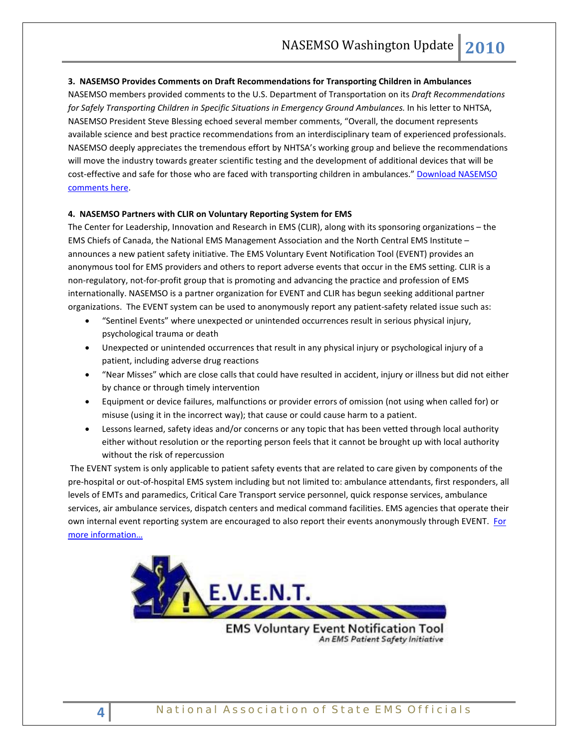### **3. NASEMSO Provides Comments on Draft Recommendations for Transporting Children in Ambulances**

NASEMSO members provided comments to the U.S. Department of Transportation on its *Draft Recommendations for Safely Transporting Children in Specific Situations in Emergency Ground Ambulances.* In his letter to NHTSA, NASEMSO President Steve Blessing echoed several member comments, "Overall, the document represents available science and best practice recommendations from an interdisciplinary team of experienced professionals. NASEMSO deeply appreciates the tremendous effort by NHTSA's working group and believe the recommendations will move the industry towards greater scientific testing and the development of additional devices that will be cost-effective and safe for those who are faced with transporting children in ambulances." [Download NASEMSO](http://www.nasemso.org/documents/NHTSALetterChildreninAmbulancesJuly2010.pdf)  [comments here.](http://www.nasemso.org/documents/NHTSALetterChildreninAmbulancesJuly2010.pdf)

### **4. NASEMSO Partners with CLIR on Voluntary Reporting System for EMS**

The Center for Leadership, Innovation and Research in EMS (CLIR), along with its sponsoring organizations – the EMS Chiefs of Canada, the National EMS Management Association and the North Central EMS Institute – announces a new patient safety initiative. The EMS Voluntary Event Notification Tool (EVENT) provides an anonymous tool for EMS providers and others to report adverse events that occur in the EMS setting. CLIR is a non-regulatory, not-for-profit group that is promoting and advancing the practice and profession of EMS internationally. NASEMSO is a partner organization for EVENT and CLIR has begun seeking additional partner organizations. The EVENT system can be used to anonymously report any patient-safety related issue such as:

- "Sentinel Events" where unexpected or unintended occurrences result in serious physical injury, psychological trauma or death
- Unexpected or unintended occurrences that result in any physical injury or psychological injury of a patient, including adverse drug reactions
- "Near Misses" which are close calls that could have resulted in accident, injury or illness but did not either by chance or through timely intervention
- Equipment or device failures, malfunctions or provider errors of omission (not using when called for) or misuse (using it in the incorrect way); that cause or could cause harm to a patient.
- Lessons learned, safety ideas and/or concerns or any topic that has been vetted through local authority either without resolution or the reporting person feels that it cannot be brought up with local authority without the risk of repercussion

The EVENT system is only applicable to patient safety events that are related to care given by components of the pre-hospital or out-of-hospital EMS system including but not limited to: ambulance attendants, first responders, all levels of EMTs and paramedics, Critical Care Transport service personnel, quick response services, ambulance services, air ambulance services, dispatch centers and medical command facilities. EMS agencies that operate their own internal event reporting system are encouraged to also report their events anonymously through EVENT. [For](http://www.clirems.org/)  [more information…](http://www.clirems.org/)



**EMS Voluntary Event Notification Tool** An EMS Patient Safety Initiative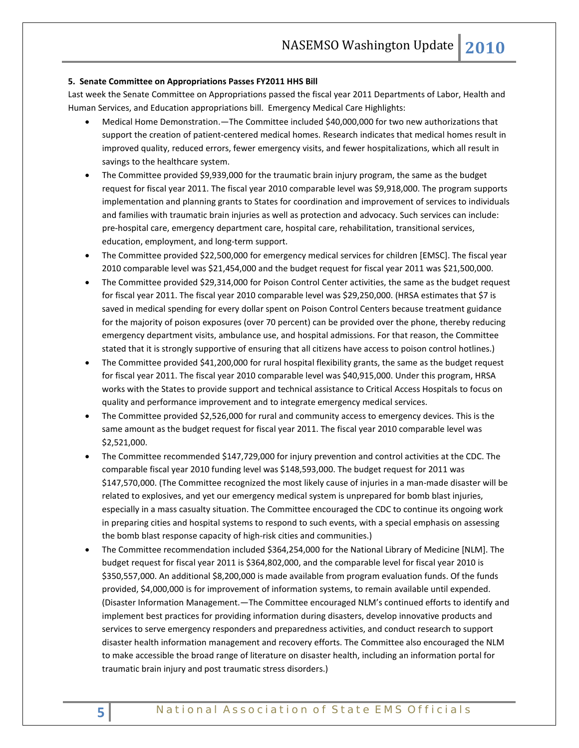#### **5. Senate Committee on Appropriations Passes FY2011 HHS Bill**

Last week the Senate Committee on Appropriations passed the fiscal year 2011 Departments of Labor, Health and Human Services, and Education appropriations bill. Emergency Medical Care Highlights:

- Medical Home Demonstration.—The Committee included \$40,000,000 for two new authorizations that support the creation of patient-centered medical homes. Research indicates that medical homes result in improved quality, reduced errors, fewer emergency visits, and fewer hospitalizations, which all result in savings to the healthcare system.
- The Committee provided \$9,939,000 for the traumatic brain injury program, the same as the budget request for fiscal year 2011. The fiscal year 2010 comparable level was \$9,918,000. The program supports implementation and planning grants to States for coordination and improvement of services to individuals and families with traumatic brain injuries as well as protection and advocacy. Such services can include: pre-hospital care, emergency department care, hospital care, rehabilitation, transitional services, education, employment, and long-term support.
- The Committee provided \$22,500,000 for emergency medical services for children [EMSC]. The fiscal year 2010 comparable level was \$21,454,000 and the budget request for fiscal year 2011 was \$21,500,000.
- The Committee provided \$29,314,000 for Poison Control Center activities, the same as the budget request for fiscal year 2011. The fiscal year 2010 comparable level was \$29,250,000. (HRSA estimates that \$7 is saved in medical spending for every dollar spent on Poison Control Centers because treatment guidance for the majority of poison exposures (over 70 percent) can be provided over the phone, thereby reducing emergency department visits, ambulance use, and hospital admissions. For that reason, the Committee stated that it is strongly supportive of ensuring that all citizens have access to poison control hotlines.)
- The Committee provided \$41,200,000 for rural hospital flexibility grants, the same as the budget request for fiscal year 2011. The fiscal year 2010 comparable level was \$40,915,000. Under this program, HRSA works with the States to provide support and technical assistance to Critical Access Hospitals to focus on quality and performance improvement and to integrate emergency medical services.
- The Committee provided \$2,526,000 for rural and community access to emergency devices. This is the same amount as the budget request for fiscal year 2011. The fiscal year 2010 comparable level was \$2,521,000.
- The Committee recommended \$147,729,000 for injury prevention and control activities at the CDC. The comparable fiscal year 2010 funding level was \$148,593,000. The budget request for 2011 was \$147,570,000. (The Committee recognized the most likely cause of injuries in a man-made disaster will be related to explosives, and yet our emergency medical system is unprepared for bomb blast injuries, especially in a mass casualty situation. The Committee encouraged the CDC to continue its ongoing work in preparing cities and hospital systems to respond to such events, with a special emphasis on assessing the bomb blast response capacity of high-risk cities and communities.)
- The Committee recommendation included \$364,254,000 for the National Library of Medicine [NLM]. The budget request for fiscal year 2011 is \$364,802,000, and the comparable level for fiscal year 2010 is \$350,557,000. An additional \$8,200,000 is made available from program evaluation funds. Of the funds provided, \$4,000,000 is for improvement of information systems, to remain available until expended. (Disaster Information Management.—The Committee encouraged NLM's continued efforts to identify and implement best practices for providing information during disasters, develop innovative products and services to serve emergency responders and preparedness activities, and conduct research to support disaster health information management and recovery efforts. The Committee also encouraged the NLM to make accessible the broad range of literature on disaster health, including an information portal for traumatic brain injury and post traumatic stress disorders.)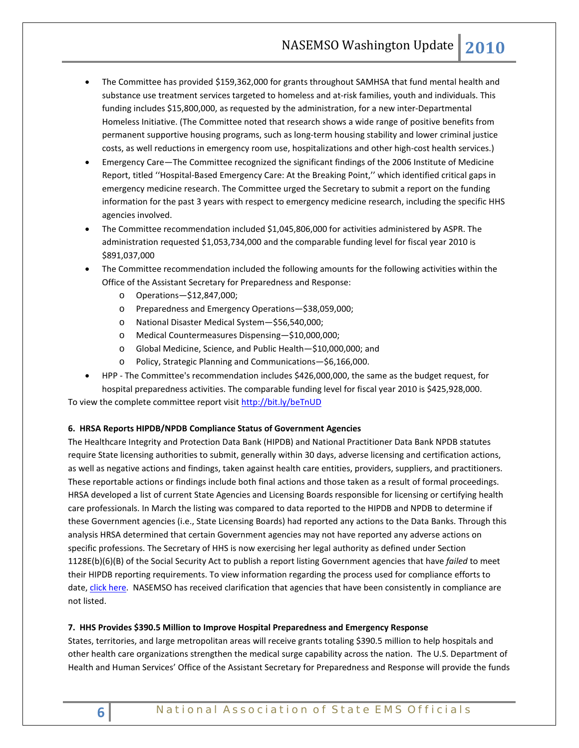- The Committee has provided \$159,362,000 for grants throughout SAMHSA that fund mental health and substance use treatment services targeted to homeless and at-risk families, youth and individuals. This funding includes \$15,800,000, as requested by the administration, for a new inter-Departmental Homeless Initiative. (The Committee noted that research shows a wide range of positive benefits from permanent supportive housing programs, such as long-term housing stability and lower criminal justice costs, as well reductions in emergency room use, hospitalizations and other high-cost health services.)
- Emergency Care—The Committee recognized the significant findings of the 2006 Institute of Medicine Report, titled ''Hospital-Based Emergency Care: At the Breaking Point,'' which identified critical gaps in emergency medicine research. The Committee urged the Secretary to submit a report on the funding information for the past 3 years with respect to emergency medicine research, including the specific HHS agencies involved.
- The Committee recommendation included \$1,045,806,000 for activities administered by ASPR. The administration requested \$1,053,734,000 and the comparable funding level for fiscal year 2010 is \$891,037,000
- The Committee recommendation included the following amounts for the following activities within the Office of the Assistant Secretary for Preparedness and Response:
	- o Operations—\$12,847,000;
	- o Preparedness and Emergency Operations—\$38,059,000;
	- o National Disaster Medical System—\$56,540,000;
	- o Medical Countermeasures Dispensing—\$10,000,000;
	- o Global Medicine, Science, and Public Health—\$10,000,000; and
	- o Policy, Strategic Planning and Communications—\$6,166,000.
- HPP The Committee's recommendation includes \$426,000,000, the same as the budget request, for hospital preparedness activities. The comparable funding level for fiscal year 2010 is \$425,928,000.

To view the complete committee report visit<http://bit.ly/beTnUD>

### **6. HRSA Reports HIPDB/NPDB Compliance Status of Government Agencies**

The Healthcare Integrity and Protection Data Bank (HIPDB) and National Practitioner Data Bank NPDB statutes require State licensing authorities to submit, generally within 30 days, adverse licensing and certification actions, as well as negative actions and findings, taken against health care entities, providers, suppliers, and practitioners. These reportable actions or findings include both final actions and those taken as a result of formal proceedings. HRSA developed a list of current State Agencies and Licensing Boards responsible for licensing or certifying health care professionals. In March the listing was compared to data reported to the HIPDB and NPDB to determine if these Government agencies (i.e., State Licensing Boards) had reported any actions to the Data Banks. Through this analysis HRSA determined that certain Government agencies may not have reported any adverse actions on specific professions. The Secretary of HHS is now exercising her legal authority as defined under Section 1128E(b)(6)(B) of the Social Security Act to publish a report listing Government agencies that have *failed* to meet their HIPDB reporting requirements. To view information regarding the process used for compliance efforts to date, [click here.](http://www.npdb-hipdb.hrsa.gov/reportingComplianceBackground.html) NASEMSO has received clarification that agencies that have been consistently in compliance are not listed.

### **7. HHS Provides \$390.5 Million to Improve Hospital Preparedness and Emergency Response**

States, territories, and large metropolitan areas will receive grants totaling \$390.5 million to help hospitals and other health care organizations strengthen the medical surge capability across the nation. The U.S. Department of Health and Human Services' Office of the Assistant Secretary for Preparedness and Response will provide the funds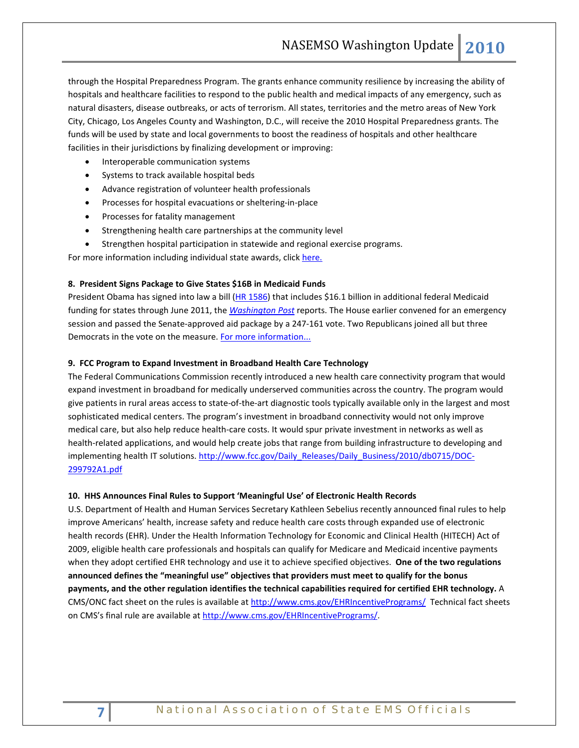through the Hospital Preparedness Program. The grants enhance community resilience by increasing the ability of hospitals and healthcare facilities to respond to the public health and medical impacts of any emergency, such as natural disasters, disease outbreaks, or acts of terrorism. All states, territories and the metro areas of New York City, Chicago, Los Angeles County and Washington, D.C., will receive the 2010 Hospital Preparedness grants. The funds will be used by state and local governments to boost the readiness of hospitals and other healthcare facilities in their jurisdictions by finalizing development or improving:

- Interoperable communication systems
- Systems to track available hospital beds
- Advance registration of volunteer health professionals
- Processes for hospital evacuations or sheltering-in-place
- Processes for fatality management
- Strengthening health care partnerships at the community level
- Strengthen hospital participation in statewide and regional exercise programs.

For more information including individual state awards, clic[k here.](http://www.hhs.gov/news/press/2010pres/07/20100707h.html)

#### **8. President Signs Package to Give States \$16B in Medicaid Funds**

President Obama has signed into law a bill [\(HR 1586\)](http://thomas.loc.gov/cgi-bin/query/z?c111:H.R.1586:) that includes \$16.1 billion in additional federal Medicaid funding for states through June 2011, the *[Washington Post](http://www.washingtonpost.com/wp-dyn/content/article/2010/08/10/AR2010081004201.html?hpid=topnews)* reports. The House earlier convened for an emergency session and passed the Senate-approved aid package by a 247-161 vote. Two Republicans joined all but three Democrats in the vote on the measure. [For more information...](http://www.californiahealthline.org/articles/2010/8/11/obama-signs-package-to-give-states-16b-in-medicaid-funds.aspx)

### **9. FCC Program to Expand Investment in Broadband Health Care Technology**

The Federal Communications Commission recently introduced a new health care connectivity program that would expand investment in broadband for medically underserved communities across the country. The program would give patients in rural areas access to state-of-the-art diagnostic tools typically available only in the largest and most sophisticated medical centers. The program's investment in broadband connectivity would not only improve medical care, but also help reduce health-care costs. It would spur private investment in networks as well as health-related applications, and would help create jobs that range from building infrastructure to developing and implementing health IT solutions[. http://www.fcc.gov/Daily\\_Releases/Daily\\_Business/2010/db0715/DOC-](http://www.fcc.gov/Daily_Releases/Daily_Business/2010/db0715/DOC-299792A1.pdf)[299792A1.pdf](http://www.fcc.gov/Daily_Releases/Daily_Business/2010/db0715/DOC-299792A1.pdf)

### **10. HHS Announces Final Rules to Support 'Meaningful Use' of Electronic Health Records**

U.S. Department of Health and Human Services Secretary Kathleen Sebelius recently announced final rules to help improve Americans' health, increase safety and reduce health care costs through expanded use of electronic health records (EHR). Under the Health Information Technology for Economic and Clinical Health (HITECH) Act of 2009, eligible health care professionals and hospitals can qualify for Medicare and Medicaid incentive payments when they adopt certified EHR technology and use it to achieve specified objectives. **One of the two regulations announced defines the "meaningful use" objectives that providers must meet to qualify for the bonus payments, and the other regulation identifies the technical capabilities required for certified EHR technology.** A CMS/ONC fact sheet on the rules is available at<http://www.cms.gov/EHRIncentivePrograms/> Technical fact sheets on CMS's final rule are available a[t http://www.cms.gov/EHRIncentivePrograms/.](http://www.cms.gov/EHRIncentivePrograms/)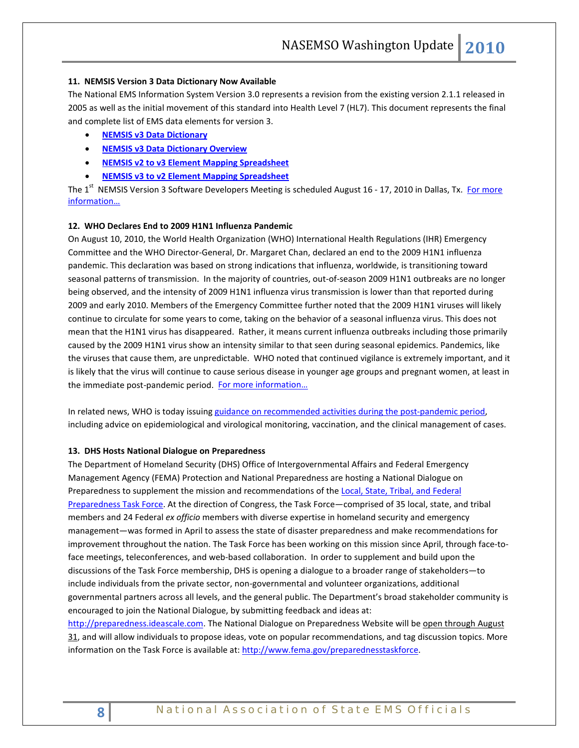#### **11. NEMSIS Version 3 Data Dictionary Now Available**

The National EMS Information System Version 3.0 represents a revision from the existing version 2.1.1 released in 2005 as well as the initial movement of this standard into Health Level 7 (HL7). This document represents the final and complete list of EMS data elements for version 3.

- **[NEMSIS v3 Data Dictionary](http://www.nemsis.org/media/pdf/NEMSISDataDictionaryV3.0Final.pdf)**
- **[NEMSIS v3 Data Dictionary Overview](http://www.nemsis.org/media/pdf/NEMSISV3DataDictionaryOverview.pdf)**
- **[NEMSIS v2 to v3 Element Mapping Spreadsheet](http://www.nemsis.org/media/xls/NEMSISv2tov3spreadsheet.xls)**
- **[NEMSIS v3 to v2 Element Mapping Spreadsheet](http://www.nemsis.org/media/xls/NEMSISv3tov2spreadsheet.xls)**

The 1<sup>st</sup> NEMSIS Version 3 Software Developers Meeting is scheduled August 16 - 17, 2010 in Dallas, Tx. For more [information…](http://www.nemsis.org/)

### **12. WHO Declares End to 2009 H1N1 Influenza Pandemic**

On August 10, 2010, the World Health Organization (WHO) International Health Regulations (IHR) Emergency Committee and the WHO Director-General, Dr. Margaret Chan, declared an end to the 2009 H1N1 influenza pandemic. This declaration was based on strong indications that influenza, worldwide, is transitioning toward seasonal patterns of transmission. In the majority of countries, out-of-season 2009 H1N1 outbreaks are no longer being observed, and the intensity of 2009 H1N1 influenza virus transmission is lower than that reported during 2009 and early 2010. Members of the Emergency Committee further noted that the 2009 H1N1 viruses will likely continue to circulate for some years to come, taking on the behavior of a seasonal influenza virus. This does not mean that the H1N1 virus has disappeared. Rather, it means current influenza outbreaks including those primarily caused by the 2009 H1N1 virus show an intensity similar to that seen during seasonal epidemics. Pandemics, like the viruses that cause them, are unpredictable. WHO noted that continued vigilance is extremely important, and it is likely that the virus will continue to cause serious disease in younger age groups and pregnant women, at least in the immediate post-pandemic period. For more information...

In related news, WHO is today issuing [guidance on recommended activities during the post-pandemic period,](http://www.who.int/csr/disease/swineflu/notes/briefing_20100810/en/index.html)  including advice on epidemiological and virological monitoring, vaccination, and the clinical management of cases.

#### **13. DHS Hosts National Dialogue on Preparedness**

The Department of Homeland Security (DHS) Office of Intergovernmental Affairs and Federal Emergency Management Agency (FEMA) Protection and National Preparedness are hosting a National Dialogue on Preparedness to supplement the mission and recommendations of the [Local, State, Tribal, and Federal](http://www.fema.gov/preparednesstaskforce.)  [Preparedness Task Force.](http://www.fema.gov/preparednesstaskforce.) At the direction of Congress, the Task Force—comprised of 35 local, state, and tribal members and 24 Federal *ex officio* members with diverse expertise in homeland security and emergency management—was formed in April to assess the state of disaster preparedness and make recommendations for improvement throughout the nation. The Task Force has been working on this mission since April, through face-toface meetings, teleconferences, and web-based collaboration. In order to supplement and build upon the discussions of the Task Force membership, DHS is opening a dialogue to a broader range of stakeholders—to include individuals from the private sector, non-governmental and volunteer organizations, additional governmental partners across all levels, and the general public. The Department's broad stakeholder community is encouraged to join the National Dialogue, by submitting feedback and ideas at:

[http://preparedness.ideascale.com.](http://preparedness.ideascale.com/) The National Dialogue on Preparedness Website will be open through August 31, and will allow individuals to propose ideas, vote on popular recommendations, and tag discussion topics. More information on the Task Force is available at: [http://www.fema.gov/preparednesstaskforce.](http://www.fema.gov/preparednesstaskforce)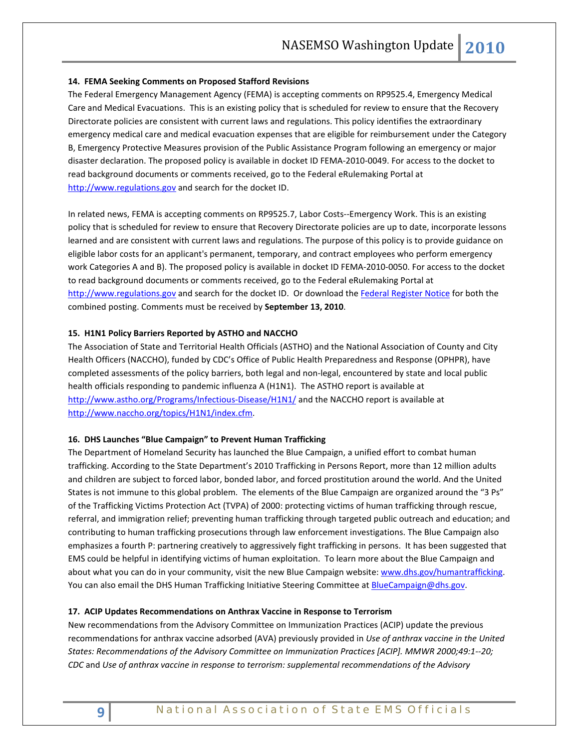### **14. FEMA Seeking Comments on Proposed Stafford Revisions**

The Federal Emergency Management Agency (FEMA) is accepting comments on RP9525.4, Emergency Medical Care and Medical Evacuations. This is an existing policy that is scheduled for review to ensure that the Recovery Directorate policies are consistent with current laws and regulations. This policy identifies the extraordinary emergency medical care and medical evacuation expenses that are eligible for reimbursement under the Category B, Emergency Protective Measures provision of the Public Assistance Program following an emergency or major disaster declaration. The proposed policy is available in docket ID FEMA-2010-0049. For access to the docket to read background documents or comments received, go to the Federal eRulemaking Portal at [http://www.regulations.gov](http://www.regulations.gov/) and search for the docket ID.

In related news, FEMA is accepting comments on RP9525.7, Labor Costs--Emergency Work. This is an existing policy that is scheduled for review to ensure that Recovery Directorate policies are up to date, incorporate lessons learned and are consistent with current laws and regulations. The purpose of this policy is to provide guidance on eligible labor costs for an applicant's permanent, temporary, and contract employees who perform emergency work Categories A and B). The proposed policy is available in docket ID FEMA-2010-0050. For access to the docket to read background documents or comments received, go to the Federal eRulemaking Portal at [http://www.regulations.gov](http://www.regulations.gov/) and search for the docket ID. Or download th[e Federal Register Notice](http://edocket.access.gpo.gov/2010/pdf/2010-20069.pdf) for both the combined posting. Comments must be received by **September 13, 2010**.

### **15. H1N1 Policy Barriers Reported by ASTHO and NACCHO**

The Association of State and Territorial Health Officials (ASTHO) and the National Association of County and City Health Officers (NACCHO), funded by CDC's Office of Public Health Preparedness and Response (OPHPR), have completed assessments of the policy barriers, both legal and non-legal, encountered by state and local public health officials responding to pandemic influenza A (H1N1). The ASTHO report is available at <http://www.astho.org/Programs/Infectious-Disease/H1N1/> and the NACCHO report is available at [http://www.naccho.org/topics/H1N1/index.cfm.](http://www.naccho.org/topics/H1N1/index.cfm)

### **16. DHS Launches "Blue Campaign" to Prevent Human Trafficking**

The Department of Homeland Security has launched the Blue Campaign, a unified effort to combat human trafficking. According to the State Department's 2010 Trafficking in Persons Report, more than 12 million adults and children are subject to forced labor, bonded labor, and forced prostitution around the world. And the United States is not immune to this global problem. The elements of the Blue Campaign are organized around the "3 Ps" of the Trafficking Victims Protection Act (TVPA) of 2000: protecting victims of human trafficking through rescue, referral, and immigration relief; preventing human trafficking through targeted public outreach and education; and contributing to human trafficking prosecutions through law enforcement investigations. The Blue Campaign also emphasizes a fourth P: partnering creatively to aggressively fight trafficking in persons. It has been suggested that EMS could be helpful in identifying victims of human exploitation. To learn more about the Blue Campaign and about what you can do in your community, visit the new Blue Campaign website: [www.dhs.gov/humantrafficking.](http://www.dhs.gov/humantrafficking) You can also email the DHS Human Trafficking Initiative Steering Committee at **BlueCampaign@dhs.gov**.

### **17. ACIP Updates Recommendations on Anthrax Vaccine in Response to Terrorism**

New recommendations from the Advisory Committee on Immunization Practices (ACIP) update the previous recommendations for anthrax vaccine adsorbed (AVA) previously provided in *Use of anthrax vaccine in the United States: Recommendations of the Advisory Committee on Immunization Practices [ACIP]. MMWR 2000;49:1--20; CDC* and *Use of anthrax vaccine in response to terrorism: supplemental recommendations of the Advisory*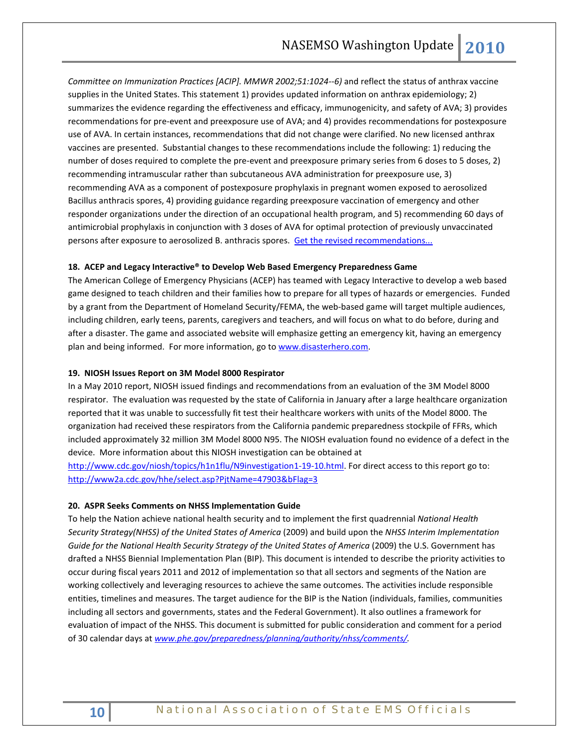*Committee on Immunization Practices [ACIP]. MMWR 2002;51:1024--6)* and reflect the status of anthrax vaccine supplies in the United States. This statement 1) provides updated information on anthrax epidemiology; 2) summarizes the evidence regarding the effectiveness and efficacy, immunogenicity, and safety of AVA; 3) provides recommendations for pre-event and preexposure use of AVA; and 4) provides recommendations for postexposure use of AVA. In certain instances, recommendations that did not change were clarified. No new licensed anthrax vaccines are presented. Substantial changes to these recommendations include the following: 1) reducing the number of doses required to complete the pre-event and preexposure primary series from 6 doses to 5 doses, 2) recommending intramuscular rather than subcutaneous AVA administration for preexposure use, 3) recommending AVA as a component of postexposure prophylaxis in pregnant women exposed to aerosolized Bacillus anthracis spores, 4) providing guidance regarding preexposure vaccination of emergency and other responder organizations under the direction of an occupational health program, and 5) recommending 60 days of antimicrobial prophylaxis in conjunction with 3 doses of AVA for optimal protection of previously unvaccinated persons after exposure to aerosolized B. anthracis spores. [Get the revised recommendations...](http://www.cdc.gov/mmwr/preview/mmwrhtml/rr5906a1.htm?s_cid=rr5906a1_e)

### **18. ACEP and Legacy Interactive® to Develop Web Based Emergency Preparedness Game**

The American College of Emergency Physicians (ACEP) has teamed with Legacy Interactive to develop a web based game designed to teach children and their families how to prepare for all types of hazards or emergencies. Funded by a grant from the Department of Homeland Security/FEMA, the web-based game will target multiple audiences, including children, early teens, parents, caregivers and teachers, and will focus on what to do before, during and after a disaster. The game and associated website will emphasize getting an emergency kit, having an emergency plan and being informed. For more information, go t[o www.disasterhero.com.](http://www.disasterhero.com/)

#### **19. NIOSH Issues Report on 3M Model 8000 Respirator**

In a May 2010 report, NIOSH issued findings and recommendations from an evaluation of the 3M Model 8000 respirator. The evaluation was requested by the state of California in January after a large healthcare organization reported that it was unable to successfully fit test their healthcare workers with units of the Model 8000. The organization had received these respirators from the California pandemic preparedness stockpile of FFRs, which included approximately 32 million 3M Model 8000 N95. The NIOSH evaluation found no evidence of a defect in the device. More information about this NIOSH investigation can be obtained at

[http://www.cdc.gov/niosh/topics/h1n1flu/N9investigation1-19-10.html.](http://www.cdc.gov/niosh/topics/h1n1flu/N9investigation1-19-10.html) For direct access to this report go to: <http://www2a.cdc.gov/hhe/select.asp?PjtName=47903&bFlag=3>

#### **20. ASPR Seeks Comments on NHSS Implementation Guide**

To help the Nation achieve national health security and to implement the first quadrennial *National Health Security Strategy(NHSS) of the United States of America* (2009) and build upon the *NHSS Interim Implementation Guide for the National Health Security Strategy of the United States of America (2009) the U.S. Government has* drafted a NHSS Biennial Implementation Plan (BIP). This document is intended to describe the priority activities to occur during fiscal years 2011 and 2012 of implementation so that all sectors and segments of the Nation are working collectively and leveraging resources to achieve the same outcomes. The activities include responsible entities, timelines and measures. The target audience for the BIP is the Nation (individuals, families, communities including all sectors and governments, states and the Federal Government). It also outlines a framework for evaluation of impact of the NHSS. This document is submitted for public consideration and comment for a period of 30 calendar days at *[www.phe.gov/preparedness/planning/authority/nhss/comments/.](http://www.phe.gov/preparedness/planning/authority/nhss/comments/)*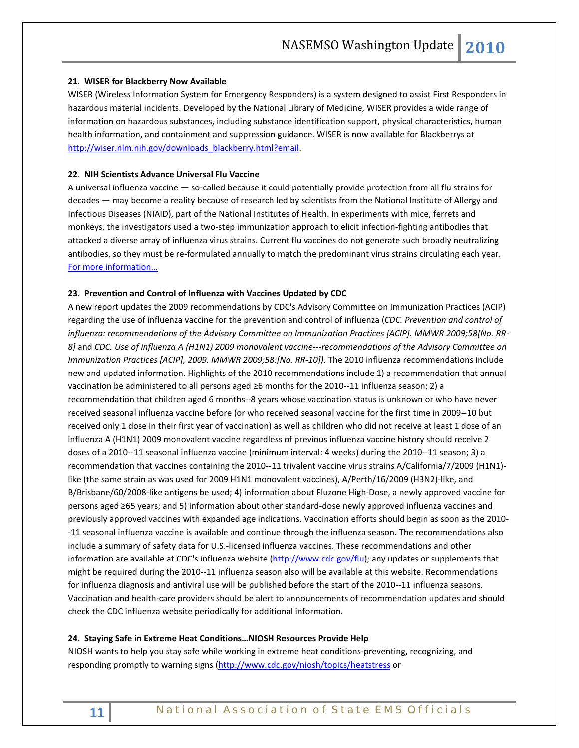### **21. WISER for Blackberry Now Available**

WISER (Wireless Information System for Emergency Responders) is a system designed to assist First Responders in hazardous material incidents. Developed by the National Library of Medicine, WISER provides a wide range of information on hazardous substances, including substance identification support, physical characteristics, human health information, and containment and suppression guidance. WISER is now available for Blackberrys at [http://wiser.nlm.nih.gov/downloads\\_blackberry.html?email.](http://wiser.nlm.nih.gov/downloads_blackberry.html?email) 

### **22. NIH Scientists Advance Universal Flu Vaccine**

A universal influenza vaccine — so-called because it could potentially provide protection from all flu strains for decades — may become a reality because of research led by scientists from the National Institute of Allergy and Infectious Diseases (NIAID), part of the National Institutes of Health. In experiments with mice, ferrets and monkeys, the investigators used a two-step immunization approach to elicit infection-fighting antibodies that attacked a diverse array of influenza virus strains. Current flu vaccines do not generate such broadly neutralizing antibodies, so they must be re-formulated annually to match the predominant virus strains circulating each year. [For more information…](http://www.nih.gov/news/health/jul2010/niaid-15.htm)

#### **23. Prevention and Control of Influenza with Vaccines Updated by CDC**

A new report updates the 2009 recommendations by CDC's Advisory Committee on Immunization Practices (ACIP) regarding the use of influenza vaccine for the prevention and control of influenza (*CDC. Prevention and control of influenza: recommendations of the Advisory Committee on Immunization Practices [ACIP]. MMWR 2009;58[No. RR-8]* and *CDC. Use of influenza A (H1N1) 2009 monovalent vaccine---recommendations of the Advisory Committee on Immunization Practices [ACIP], 2009. MMWR 2009;58:[No. RR-10])*. The 2010 influenza recommendations include new and updated information. Highlights of the 2010 recommendations include 1) a recommendation that annual vaccination be administered to all persons aged ≥6 months for the 2010--11 influenza season; 2) a recommendation that children aged 6 months--8 years whose vaccination status is unknown or who have never received seasonal influenza vaccine before (or who received seasonal vaccine for the first time in 2009--10 but received only 1 dose in their first year of vaccination) as well as children who did not receive at least 1 dose of an influenza A (H1N1) 2009 monovalent vaccine regardless of previous influenza vaccine history should receive 2 doses of a 2010--11 seasonal influenza vaccine (minimum interval: 4 weeks) during the 2010--11 season; 3) a recommendation that vaccines containing the 2010--11 trivalent vaccine virus strains A/California/7/2009 (H1N1) like (the same strain as was used for 2009 H1N1 monovalent vaccines), A/Perth/16/2009 (H3N2)-like, and B/Brisbane/60/2008-like antigens be used; 4) information about Fluzone High-Dose, a newly approved vaccine for persons aged ≥65 years; and 5) information about other standard-dose newly approved influenza vaccines and previously approved vaccines with expanded age indications. Vaccination efforts should begin as soon as the 2010- -11 seasonal influenza vaccine is available and continue through the influenza season. The recommendations also include a summary of safety data for U.S.-licensed influenza vaccines. These recommendations and other information are available at CDC's influenza website [\(http://www.cdc.gov/flu\)](http://www.cdc.gov/flu); any updates or supplements that might be required during the 2010--11 influenza season also will be available at this website. Recommendations for influenza diagnosis and antiviral use will be published before the start of the 2010--11 influenza seasons. Vaccination and health-care providers should be alert to announcements of recommendation updates and should check the CDC influenza website periodically for additional information.

#### **24. Staying Safe in Extreme Heat Conditions…NIOSH Resources Provide Help**

NIOSH wants to help you stay safe while working in extreme heat conditions-preventing, recognizing, and responding promptly to warning signs [\(http://www.cdc.gov/niosh/topics/heatstress](http://www.cdc.gov/niosh/topics/heatstress) or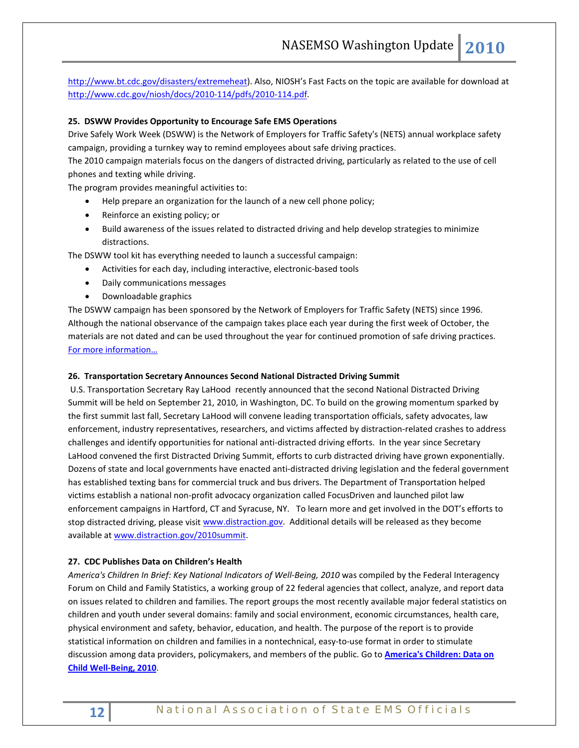[http://www.bt.cdc.gov/disasters/extremeheat\)](http://www.bt.cdc.gov/disasters/extremeheat). Also, NIOSH's Fast Facts on the topic are available for download at [http://www.cdc.gov/niosh/docs/2010-114/pdfs/2010-114.pdf.](http://www.cdc.gov/niosh/docs/2010-114/pdfs/2010-114.pdf)

### **25. DSWW Provides Opportunity to Encourage Safe EMS Operations**

Drive Safely Work Week (DSWW) is the Network of Employers for Traffic Safety's (NETS) annual workplace safety campaign, providing a turnkey way to remind employees about safe driving practices.

The 2010 campaign materials focus on the dangers of distracted driving, particularly as related to the use of cell phones and texting while driving.

The program provides meaningful activities to:

- Help prepare an organization for the launch of a new cell phone policy;
- Reinforce an existing policy; or
- Build awareness of the issues related to distracted driving and help develop strategies to minimize distractions.

The DSWW tool kit has everything needed to launch a successful campaign:

- Activities for each day, including interactive, electronic-based tools
- Daily communications messages
- Downloadable graphics

The DSWW campaign has been sponsored by the Network of Employers for Traffic Safety (NETS) since 1996. Although the national observance of the campaign takes place each year during the first week of October, the materials are not dated and can be used throughout the year for continued promotion of safe driving practices. [For more information…](http://trafficsafety.org/drivesafelyworkweek/)

### **26. Transportation Secretary Announces Second National Distracted Driving Summit**

U.S. Transportation Secretary Ray LaHood recently announced that the second National Distracted Driving Summit will be held on September 21, 2010, in Washington, DC. To build on the growing momentum sparked by the first summit last fall, Secretary LaHood will convene leading transportation officials, safety advocates, law enforcement, industry representatives, researchers, and victims affected by distraction-related crashes to address challenges and identify opportunities for national anti-distracted driving efforts. In the year since Secretary LaHood convened the first Distracted Driving Summit, efforts to curb distracted driving have grown exponentially. Dozens of state and local governments have enacted anti-distracted driving legislation and the federal government has established texting bans for commercial truck and bus drivers. The Department of Transportation helped victims establish a national non-profit advocacy organization called FocusDriven and launched pilot law enforcement campaigns in Hartford, CT and Syracuse, NY. To learn more and get involved in the DOT's efforts to stop distracted driving, please visit [www.distraction.gov.](http://links.govdelivery.com/track?type=click&enid=bWFpbGluZ2lkPTkxOTg3NSZtZXNzYWdlaWQ9UFJELUJVTC05MTk4NzUmZGF0YWJhc2VpZD0xMDAxJnNlcmlhbD0xMjc2NTg0NjQ1JmVtYWlsaWQ9cm9iaW5zb25AbmFzZW1zby5vcmcmdXNlcmlkPXJvYmluc29uQG5hc2Vtc28ub3JnJmZsPSZleHRyYT1NdWx0aXZhcmlhdGVJZD0mJiY=&&&101&&&http://www.distraction.gov) Additional details will be released as they become available a[t www.distraction.gov/2010summit.](http://links.govdelivery.com/track?type=click&enid=bWFpbGluZ2lkPTkxOTg3NSZtZXNzYWdlaWQ9UFJELUJVTC05MTk4NzUmZGF0YWJhc2VpZD0xMDAxJnNlcmlhbD0xMjc2NTg0NjQ1JmVtYWlsaWQ9cm9iaW5zb25AbmFzZW1zby5vcmcmdXNlcmlkPXJvYmluc29uQG5hc2Vtc28ub3JnJmZsPSZleHRyYT1NdWx0aXZhcmlhdGVJZD0mJiY=&&&102&&&http://www.distraction.gov/2010summit)

### **27. CDC Publishes Data on Children's Health**

*America's Children In Brief: Key National Indicators of Well-Being, 2010* was compiled by the Federal Interagency Forum on Child and Family Statistics, a working group of 22 federal agencies that collect, analyze, and report data on issues related to children and families. The report groups the most recently available major federal statistics on children and youth under several domains: family and social environment, economic circumstances, health care, physical environment and safety, behavior, education, and health. The purpose of the report is to provide statistical information on children and families in a nontechnical, easy-to-use format in order to stimulate discussion among data providers, policymakers, and members of the public. Go to **[America's Children: Data on](http://www.cdc.gov/Features/dsChildHealthData/)  [Child Well-Being, 2010](http://www.cdc.gov/Features/dsChildHealthData/)**.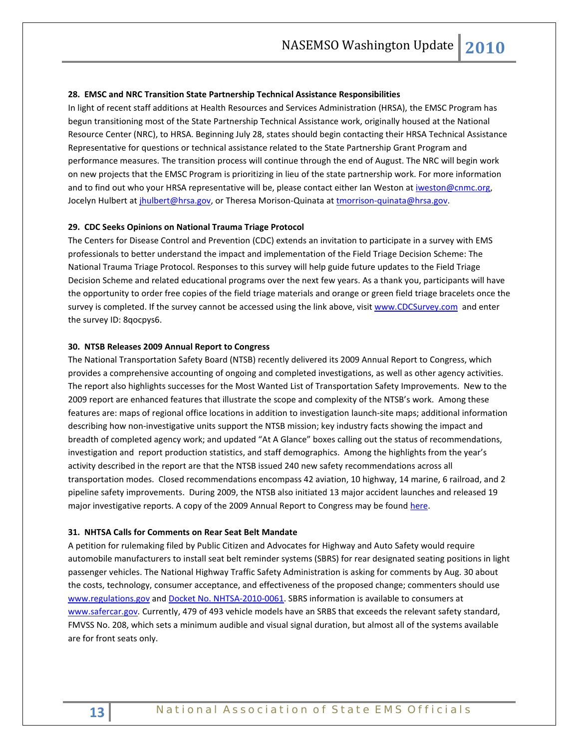#### **28. EMSC and NRC Transition State Partnership Technical Assistance Responsibilities**

In light of recent staff additions at Health Resources and Services Administration (HRSA), the EMSC Program has begun transitioning most of the State Partnership Technical Assistance work, originally housed at the National Resource Center (NRC), to HRSA. Beginning July 28, states should begin contacting their HRSA Technical Assistance Representative for questions or technical assistance related to the State Partnership Grant Program and performance measures. The transition process will continue through the end of August. The NRC will begin work on new projects that the EMSC Program is prioritizing in lieu of the state partnership work. For more information and to find out who your HRSA representative will be, please contact either Ian Weston at [iweston@cnmc.org,](mailto:iweston@cnmc.org) Jocelyn Hulbert at *jhulbert@hrsa.gov*, or Theresa Morison-Quinata a[t tmorrison-quinata@hrsa.gov.](mailto:tmorrison-quinata@hrsa.gov)

#### **29. CDC Seeks Opinions on National Trauma Triage Protocol**

The Centers for Disease Control and Prevention (CDC) extends an invitation to participate in a survey with EMS professionals to better understand the impact and implementation of the Field Triage Decision Scheme: The National Trauma Triage Protocol. Responses to this survey will help guide future updates to the Field Triage Decision Scheme and related educational programs over the next few years. As a thank you, participants will have the opportunity to order free copies of the field triage materials and orange or green field triage bracelets once the survey is completed. If the survey cannot be accessed using the link above, visit [www.CDCSurvey.com](http://www.cdcsurvey.com/) and enter the survey ID: 8qocpys6.

#### **30. NTSB Releases 2009 Annual Report to Congress**

The National Transportation Safety Board (NTSB) recently delivered its 2009 Annual Report to Congress, which provides a comprehensive accounting of ongoing and completed investigations, as well as other agency activities. The report also highlights successes for the Most Wanted List of Transportation Safety Improvements. New to the 2009 report are enhanced features that illustrate the scope and complexity of the NTSB's work. Among these features are: maps of regional office locations in addition to investigation launch-site maps; additional information describing how non-investigative units support the NTSB mission; key industry facts showing the impact and breadth of completed agency work; and updated "At A Glance" boxes calling out the status of recommendations, investigation and report production statistics, and staff demographics. Among the highlights from the year's activity described in the report are that the NTSB issued 240 new safety recommendations across all transportation modes. Closed recommendations encompass 42 aviation, 10 highway, 14 marine, 6 railroad, and 2 pipeline safety improvements. During 2009, the NTSB also initiated 13 major accident launches and released 19 major investigative reports. A copy of the 2009 Annual Report to Congress may be found [here.](http://www.ntsb.gov/Publictn/2010/SPC1001.htm)

#### **31. NHTSA Calls for Comments on Rear Seat Belt Mandate**

A petition for rulemaking filed by Public Citizen and Advocates for Highway and Auto Safety would require automobile manufacturers to install seat belt reminder systems (SBRS) for rear designated seating positions in light passenger vehicles. The National Highway Traffic Safety Administration is asking for comments by Aug. 30 about the costs, technology, consumer acceptance, and effectiveness of the proposed change; commenters should use [www.regulations.gov](http://www.regulations.gov/) an[d Docket No. NHTSA-2010-0061.](http://edocket.access.gpo.gov/2010/2010-15773.htm) SBRS information is available to consumers at [www.safercar.gov.](http://www.safercar.gov/) Currently, 479 of 493 vehicle models have an SRBS that exceeds the relevant safety standard, FMVSS No. 208, which sets a minimum audible and visual signal duration, but almost all of the systems available are for front seats only.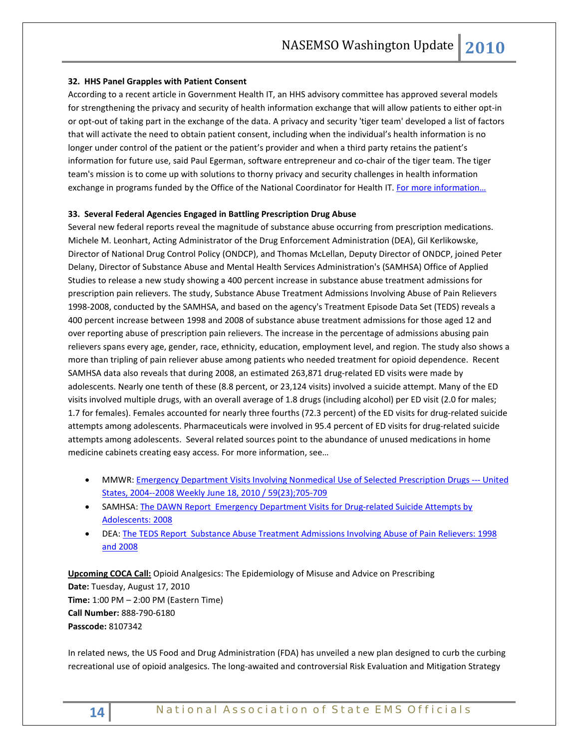### **32. HHS Panel Grapples with Patient Consent**

According to a recent article in Government Health IT, an HHS advisory committee has approved several models for strengthening the privacy and security of health information exchange that will allow patients to either opt-in or opt-out of taking part in the exchange of the data. A privacy and security 'tiger team' developed a list of factors that will activate the need to obtain patient consent, including when the individual's health information is no longer under control of the patient or the patient's provider and when a third party retains the patient's information for future use, said Paul Egerman, software entrepreneur and co-chair of the tiger team. The tiger team's mission is to come up with solutions to thorny privacy and security challenges in health information exchange in programs funded by the Office of the National Coordinator for Health IT. For more information...

### **33. Several Federal Agencies Engaged in Battling Prescription Drug Abuse**

Several new federal reports reveal the magnitude of substance abuse occurring from prescription medications. Michele M. Leonhart, Acting Administrator of the Drug Enforcement Administration (DEA), Gil Kerlikowske, Director of National Drug Control Policy (ONDCP), and Thomas McLellan, Deputy Director of ONDCP, joined Peter Delany, Director of Substance Abuse and Mental Health Services Administration's (SAMHSA) Office of Applied Studies to release a new study showing a 400 percent increase in substance abuse treatment admissions for prescription pain relievers. The study, Substance Abuse Treatment Admissions Involving Abuse of Pain Relievers 1998-2008, conducted by the SAMHSA, and based on the agency's Treatment Episode Data Set (TEDS) reveals a 400 percent increase between 1998 and 2008 of substance abuse treatment admissions for those aged 12 and over reporting abuse of prescription pain relievers. The increase in the percentage of admissions abusing pain relievers spans every age, gender, race, ethnicity, education, employment level, and region. The study also shows a more than tripling of pain reliever abuse among patients who needed treatment for opioid dependence. Recent SAMHSA data also reveals that during 2008, an estimated 263,871 drug-related ED visits were made by adolescents. Nearly one tenth of these (8.8 percent, or 23,124 visits) involved a suicide attempt. Many of the ED visits involved multiple drugs, with an overall average of 1.8 drugs (including alcohol) per ED visit (2.0 for males; 1.7 for females). Females accounted for nearly three fourths (72.3 percent) of the ED visits for drug-related suicide attempts among adolescents. Pharmaceuticals were involved in 95.4 percent of ED visits for drug-related suicide attempts among adolescents. Several related sources point to the abundance of unused medications in home medicine cabinets creating easy access. For more information, see…

- MMWR: **Emergency Department Visits Involving Nonmedical Use of Selected Prescription Drugs --- United** [States, 2004--2008 Weekly June 18, 2010 / 59\(23\);705-709](http://www.cdc.gov/mmwr/preview/mmwrhtml/mm5923a1.htm?s_cid=mm5923a1_w)
- SAMHSA[: The DAWN Report Emergency Department Visits for Drug-related Suicide Attempts by](http://www.oas.samhsa.gov/2k10/DAWN001/SuicideAttemptsHTML.pdf)  [Adolescents: 2008](http://www.oas.samhsa.gov/2k10/DAWN001/SuicideAttemptsHTML.pdf)
- DEA: [The TEDS Report Substance Abuse Treatment Admissions Involving Abuse of Pain Relievers: 1998](http://www.justice.gov/dea/pubs/states/newsrel/2010/dallas071610.pdf)  [and 2008](http://www.justice.gov/dea/pubs/states/newsrel/2010/dallas071610.pdf)

**Upcoming COCA Call:** Opioid Analgesics: The Epidemiology of Misuse and Advice on Prescribing **Date:** Tuesday, August 17, 2010 **Time:** 1:00 PM – 2:00 PM (Eastern Time) **Call Number:** 888-790-6180 **Passcode:** 8107342

In related news, the US Food and Drug Administration (FDA) has unveiled a new plan designed to curb the curbing recreational use of opioid analgesics. The long-awaited and controversial Risk Evaluation and Mitigation Strategy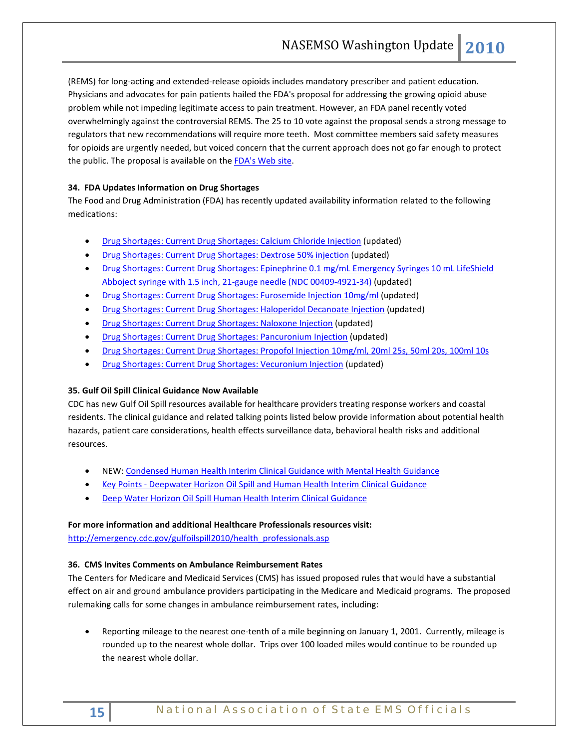(REMS) for long-acting and extended-release opioids includes mandatory prescriber and patient education. Physicians and advocates for pain patients hailed the FDA's proposal for addressing the growing opioid abuse problem while not impeding legitimate access to pain treatment. However, an FDA panel recently voted overwhelmingly against the controversial REMS. The 25 to 10 vote against the proposal sends a strong message to regulators that new recommendations will require more teeth. Most committee members said safety measures for opioids are urgently needed, but voiced concern that the current approach does not go far enough to protect the public. The proposal is available on the **FDA's Web site**.

# **34. FDA Updates Information on Drug Shortages**

The Food and Drug Administration (FDA) has recently updated availability information related to the following medications:

- [Drug Shortages: Current Drug Shortages: Calcium Chloride Injection](http://www.fda.gov/Drugs/NewsEvents/ssLINK/ucm050792.htm#calcium) (updated)
- [Drug Shortages: Current Drug Shortages: Dextrose 50% injection](http://www.fda.gov/Drugs/NewsEvents/ssLINK/ucm050792.htm#dextrose) (updated)
- [Drug Shortages: Current Drug Shortages: Epinephrine 0.1 mg/mL Emergency Syringes 10 mL LifeShield](http://www.fda.gov/Drugs/NewsEvents/ssLINK/ucm050792.htm#epinephrine)  [Abboject syringe with 1.5 inch, 21-gauge needle \(NDC 00409-4921-34\)](http://www.fda.gov/Drugs/NewsEvents/ssLINK/ucm050792.htm#epinephrine) (updated)
- [Drug Shortages: Current Drug Shortages: Furosemide Injection 10mg/ml](http://www.fda.gov/Drugs/NewsEvents/ssLINK/ucm050792.htm#furosemide) (updated)
- [Drug Shortages: Current Drug Shortages: Haloperidol Decanoate Injection](http://www.fda.gov/Drugs/NewsEvents/ssLINK/ucm050792.htm#haloperidol) (updated)
- [Drug Shortages: Current Drug Shortages: Naloxone Injection](http://www.fda.gov/Drugs/NewsEvents/ssLINK/ucm050792.htm#naloxone) (updated)
- [Drug Shortages: Current Drug Shortages: Pancuronium Injection](http://www.fda.gov/Drugs/NewsEvents/ssLINK/ucm050792.htm#pancuronium) (updated)
- [Drug Shortages: Current Drug Shortages: Propofol Injection 10mg/ml, 20ml 25s, 50ml 20s, 100ml 10s](http://www.fda.gov/Drugs/NewsEvents/ssLINK/ucm050792.htm#propofol)
- [Drug Shortages: Current Drug Shortages: Vecuronium Injection](http://www.fda.gov/Drugs/NewsEvents/ssLINK/ucm050792.htm#vecuronium) (updated)

# **35. Gulf Oil Spill Clinical Guidance Now Available**

CDC has new Gulf Oil Spill resources available for healthcare providers treating response workers and coastal residents. The clinical guidance and related talking points listed below provide information about potential health hazards, patient care considerations, health effects surveillance data, behavioral health risks and additional resources.

- NEW: [Condensed Human Health Interim Clinical Guidance with Mental Health Guidance](http://emergency.cdc.gov/gulfoilspill2010/pdf/Oil_spill_4p_July_29_v2.pdf)
- Key Points [Deepwater Horizon Oil Spill and Human Health Interim Clinical Guidance](http://emergency.cdc.gov/gulfoilspill2010/key_points.asp)
- [Deep Water Horizon Oil Spill Human Health Interim Clinical Guidance](http://emergency.cdc.gov/gulfoilspill2010/oilspill_clinical.asp)

# **For more information and additional Healthcare Professionals resources visit:**

[http://emergency.cdc.gov/gulfoilspill2010/health\\_professionals.asp](http://emergency.cdc.gov/gulfoilspill2010/health_professionals.asp)

# **36. CMS Invites Comments on Ambulance Reimbursement Rates**

The Centers for Medicare and Medicaid Services (CMS) has issued proposed rules that would have a substantial effect on air and ground ambulance providers participating in the Medicare and Medicaid programs. The proposed rulemaking calls for some changes in ambulance reimbursement rates, including:

• Reporting mileage to the nearest one-tenth of a mile beginning on January 1, 2001. Currently, mileage is rounded up to the nearest whole dollar. Trips over 100 loaded miles would continue to be rounded up the nearest whole dollar.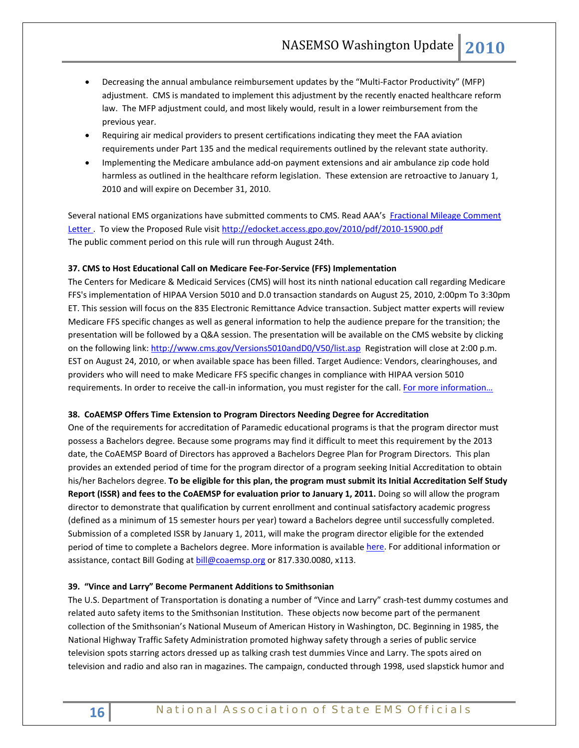- Decreasing the annual ambulance reimbursement updates by the "Multi-Factor Productivity" (MFP) adjustment. CMS is mandated to implement this adjustment by the recently enacted healthcare reform law. The MFP adjustment could, and most likely would, result in a lower reimbursement from the previous year.
- Requiring air medical providers to present certifications indicating they meet the FAA aviation requirements under Part 135 and the medical requirements outlined by the relevant state authority.
- Implementing the Medicare ambulance add-on payment extensions and air ambulance zip code hold harmless as outlined in the healthcare reform legislation. These extension are retroactive to January 1, 2010 and will expire on December 31, 2010.

Several national EMS organizations have submitted comments to CMS. Read AAA's [Fractional Mileage Comment](http://www.the-aaa.org/www.the-aaa.org/7-29-2010%20Member%20Comments%20to%20CMS.doc)  [Letter .](http://www.the-aaa.org/www.the-aaa.org/7-29-2010%20Member%20Comments%20to%20CMS.doc) To view the Proposed Rule visit<http://edocket.access.gpo.gov/2010/pdf/2010-15900.pdf> The public comment period on this rule will run through August 24th.

### **37. CMS to Host Educational Call on Medicare Fee-For-Service (FFS) Implementation**

The Centers for Medicare & Medicaid Services (CMS) will host its ninth national education call regarding Medicare FFS's implementation of HIPAA Version 5010 and D.0 transaction standards on August 25, 2010, 2:00pm To 3:30pm ET. This session will focus on the 835 Electronic Remittance Advice transaction. Subject matter experts will review Medicare FFS specific changes as well as general information to help the audience prepare for the transition; the presentation will be followed by a Q&A session. The presentation will be available on the CMS website by clicking on the following link:<http://www.cms.gov/Versions5010andD0/V50/list.asp>Registration will close at 2:00 p.m. EST on August 24, 2010, or when available space has been filled. Target Audience: Vendors, clearinghouses, and providers who will need to make Medicare FFS specific changes in compliance with HIPAA version 5010 requirements. In order to receive the call-in information, you must register for the call. For more information...

### **38. CoAEMSP Offers Time Extension to Program Directors Needing Degree for Accreditation**

One of the requirements for accreditation of Paramedic educational programs is that the program director must possess a Bachelors degree. Because some programs may find it difficult to meet this requirement by the 2013 date, the CoAEMSP Board of Directors has approved a Bachelors Degree Plan for Program Directors. This plan provides an extended period of time for the program director of a program seeking Initial Accreditation to obtain his/her Bachelors degree. **To be eligible for this plan, the program must submit its Initial Accreditation Self Study Report (ISSR) and fees to the CoAEMSP for evaluation prior to January 1, 2011.** Doing so will allow the program director to demonstrate that qualification by current enrollment and continual satisfactory academic progress (defined as a minimum of 15 semester hours per year) toward a Bachelors degree until successfully completed. Submission of a completed ISSR by January 1, 2011, will make the program director eligible for the extended period of time to complete a Bachelors degree. More information is availabl[e here.](http://r20.rs6.net/tn.jsp?et=1103548280878&s=1704&e=001aE6CmN0AgnXA9rxp0CQBCGNO4Q8O4rbRKv-N2Wo4rH8QE3gKui34X8jB3iTnHZmxI_HDIXU1oJVHxHHGp1Eqm5COuuCQ4VegNQ5t71HLEFBtvyaydt21OOwgOcYKQquXG6z2TxWoGus=) For additional information or assistance, contact Bill Goding a[t bill@coaemsp.org](mailto:bill@coaemsp.org) or 817.330.0080, x113.

# **39. "Vince and Larry" Become Permanent Additions to Smithsonian**

The U.S. Department of Transportation is donating a number of "Vince and Larry" crash-test dummy costumes and related auto safety items to the Smithsonian Institution. These objects now become part of the permanent collection of the Smithsonian's National Museum of American History in Washington, DC. Beginning in 1985, the National Highway Traffic Safety Administration promoted highway safety through a series of public service television spots starring actors dressed up as talking crash test dummies Vince and Larry. The spots aired on television and radio and also ran in magazines. The campaign, conducted through 1998, used slapstick humor and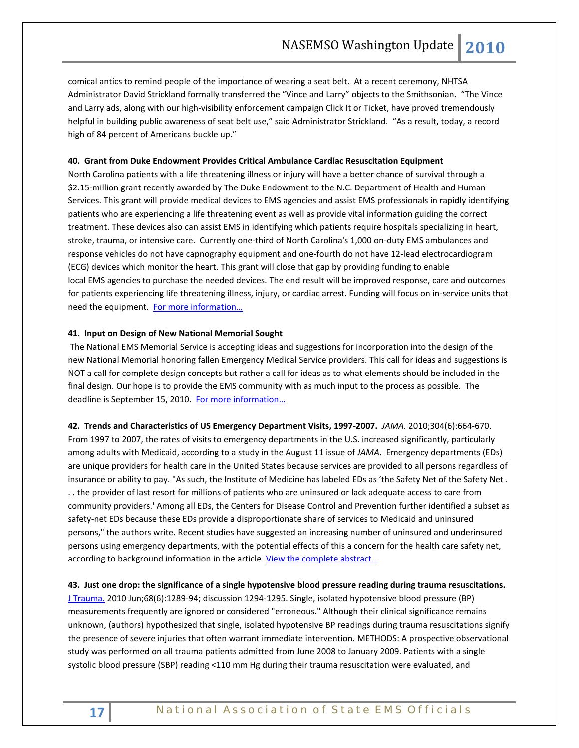comical antics to remind people of the importance of wearing a seat belt. At a recent ceremony, NHTSA Administrator David Strickland formally transferred the "Vince and Larry" objects to the Smithsonian. "The Vince and Larry ads, along with our high-visibility enforcement campaign Click It or Ticket, have proved tremendously helpful in building public awareness of seat belt use," said Administrator Strickland. "As a result, today, a record high of 84 percent of Americans buckle up."

#### **40. Grant from Duke Endowment Provides Critical Ambulance Cardiac Resuscitation Equipment**

North Carolina patients with a life threatening illness or injury will have a better chance of survival through a \$2.15-million grant recently awarded by The Duke Endowment to the N.C. Department of Health and Human Services. This grant will provide medical devices to EMS agencies and assist EMS professionals in rapidly identifying patients who are experiencing a life threatening event as well as provide vital information guiding the correct treatment. These devices also can assist EMS in identifying which patients require hospitals specializing in heart, stroke, trauma, or intensive care. Currently one-third of North Carolina's 1,000 on-duty EMS ambulances and response vehicles do not have capnography equipment and one-fourth do not have 12-lead electrocardiogram (ECG) devices which monitor the heart. This grant will close that gap by providing funding to enable local EMS agencies to purchase the needed devices. The end result will be improved response, care and outcomes for patients experiencing life threatening illness, injury, or cardiac arrest. Funding will focus on in-service units that need the equipment. For more information...

#### **41. Input on Design of New National Memorial Sought**

The National EMS Memorial Service is accepting ideas and suggestions for incorporation into the design of the new National Memorial honoring fallen Emergency Medical Service providers. This call for ideas and suggestions is NOT a call for complete design concepts but rather a call for ideas as to what elements should be included in the final design. Our hope is to provide the EMS community with as much input to the process as possible. The deadline is September 15, 2010. For more information...

**42. Trends and Characteristics of US Emergency Department Visits, 1997-2007.** *JAMA.* 2010;304(6):664-670. From 1997 to 2007, the rates of visits to emergency departments in the U.S. increased significantly, particularly among adults with Medicaid, according to a study in the August 11 issue of *JAMA*. Emergency departments (EDs) are unique providers for health care in the United States because services are provided to all persons regardless of insurance or ability to pay. "As such, the Institute of Medicine has labeled EDs as 'the Safety Net of the Safety Net . . . the provider of last resort for millions of patients who are uninsured or lack adequate access to care from community providers.' Among all EDs, the Centers for Disease Control and Prevention further identified a subset as safety-net EDs because these EDs provide a disproportionate share of services to Medicaid and uninsured persons," the authors write. Recent studies have suggested an increasing number of uninsured and underinsured persons using emergency departments, with the potential effects of this a concern for the health care safety net, according to background information in the article. View the complete abstract...

**43. Just one drop: the significance of a single hypotensive blood pressure reading during trauma resuscitations.** [J Trauma.](javascript:AL_get(this,%20) 2010 Jun;68(6):1289-94; discussion 1294-1295. Single, isolated hypotensive blood pressure (BP) measurements frequently are ignored or considered "erroneous." Although their clinical significance remains unknown, (authors) hypothesized that single, isolated hypotensive BP readings during trauma resuscitations signify the presence of severe injuries that often warrant immediate intervention. METHODS: A prospective observational study was performed on all trauma patients admitted from June 2008 to January 2009. Patients with a single systolic blood pressure (SBP) reading <110 mm Hg during their trauma resuscitation were evaluated, and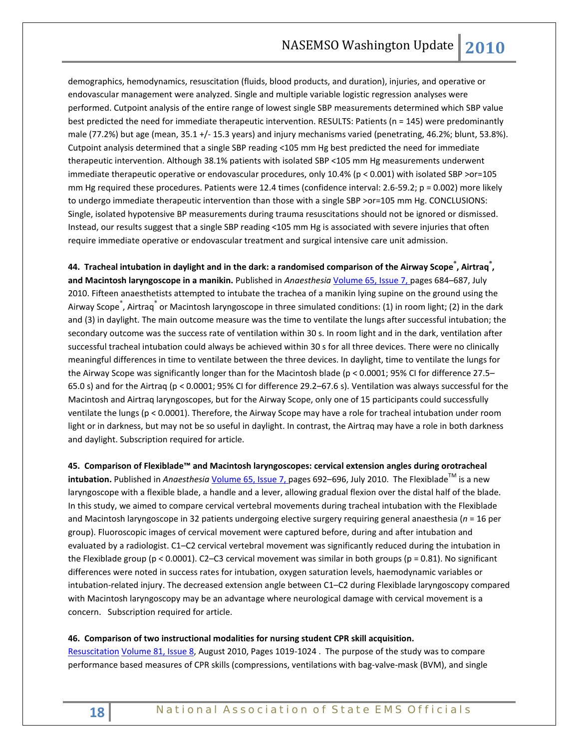demographics, hemodynamics, resuscitation (fluids, blood products, and duration), injuries, and operative or endovascular management were analyzed. Single and multiple variable logistic regression analyses were performed. Cutpoint analysis of the entire range of lowest single SBP measurements determined which SBP value best predicted the need for immediate therapeutic intervention. RESULTS: Patients (n = 145) were predominantly male (77.2%) but age (mean, 35.1 +/- 15.3 years) and injury mechanisms varied (penetrating, 46.2%; blunt, 53.8%). Cutpoint analysis determined that a single SBP reading <105 mm Hg best predicted the need for immediate therapeutic intervention. Although 38.1% patients with isolated SBP <105 mm Hg measurements underwent immediate therapeutic operative or endovascular procedures, only 10.4% (p < 0.001) with isolated SBP >or=105 mm Hg required these procedures. Patients were 12.4 times (confidence interval: 2.6-59.2;  $p = 0.002$ ) more likely to undergo immediate therapeutic intervention than those with a single SBP >or=105 mm Hg. CONCLUSIONS: Single, isolated hypotensive BP measurements during trauma resuscitations should not be ignored or dismissed. Instead, our results suggest that a single SBP reading <105 mm Hg is associated with severe injuries that often require immediate operative or endovascular treatment and surgical intensive care unit admission.

**44. Tracheal intubation in daylight and in the dark: a randomised comparison of the Airway Scope® , Airtraq® , and Macintosh laryngoscope in a manikin.** Published in *Anaesthesia* [Volume 65, Issue 7, p](http://onlinelibrary.wiley.com/doi/10.1111/ana.2010.65.issue-7/issuetoc)ages 684–687, July 2010. Fifteen anaesthetists attempted to intubate the trachea of a manikin lying supine on the ground using the Airway Scope<sup>®</sup>, Airtraq<sup>®</sup> or Macintosh laryngoscope in three simulated conditions: (1) in room light; (2) in the dark and (3) in daylight. The main outcome measure was the time to ventilate the lungs after successful intubation; the secondary outcome was the success rate of ventilation within 30 s. In room light and in the dark, ventilation after successful tracheal intubation could always be achieved within 30 s for all three devices. There were no clinically meaningful differences in time to ventilate between the three devices. In daylight, time to ventilate the lungs for the Airway Scope was significantly longer than for the Macintosh blade (p < 0.0001; 95% CI for difference 27.5– 65.0 s) and for the Airtraq (p < 0.0001; 95% CI for difference 29.2–67.6 s). Ventilation was always successful for the Macintosh and Airtraq laryngoscopes, but for the Airway Scope, only one of 15 participants could successfully ventilate the lungs (p < 0.0001). Therefore, the Airway Scope may have a role for tracheal intubation under room light or in darkness, but may not be so useful in daylight. In contrast, the Airtraq may have a role in both darkness and daylight. Subscription required for article.

**45. Comparison of Flexiblade™ and Macintosh laryngoscopes: cervical extension angles during orotracheal intubation.** Published in *Anaesthesia* [Volume 65, Issue 7, p](http://onlinelibrary.wiley.com/doi/10.1111/ana.2010.65.issue-7/issuetoc)ages 692–696, July 2010. The Flexiblade™ is a new laryngoscope with a flexible blade, a handle and a lever, allowing gradual flexion over the distal half of the blade. In this study, we aimed to compare cervical vertebral movements during tracheal intubation with the Flexiblade and Macintosh laryngoscope in 32 patients undergoing elective surgery requiring general anaesthesia (*n* = 16 per group). Fluoroscopic images of cervical movement were captured before, during and after intubation and evaluated by a radiologist. C1–C2 cervical vertebral movement was significantly reduced during the intubation in the Flexiblade group (p < 0.0001). C2–C3 cervical movement was similar in both groups (p = 0.81). No significant differences were noted in success rates for intubation, oxygen saturation levels, haemodynamic variables or intubation-related injury. The decreased extension angle between C1–C2 during Flexiblade laryngoscopy compared with Macintosh laryngoscopy may be an advantage where neurological damage with cervical movement is a concern. Subscription required for article.

#### **46. Comparison of two instructional modalities for nursing student CPR skill acquisition.**

[Resuscitation](http://www.sciencedirect.com/science/journal/03009572) [Volume 81, Issue 8,](http://www.sciencedirect.com/science?_ob=PublicationURL&_tockey=%23TOC%234885%232010%23999189991%232214755%23FLA%23&_cdi=4885&_pubType=J&view=c&_auth=y&_acct=C000050221&_version=1&_urlVersion=0&_userid=10&md5=747d13efe0b50bb8ef39300c775f8e2f) August 2010, Pages 1019-1024 . The purpose of the study was to compare performance based measures of CPR skills (compressions, ventilations with bag-valve-mask (BVM), and single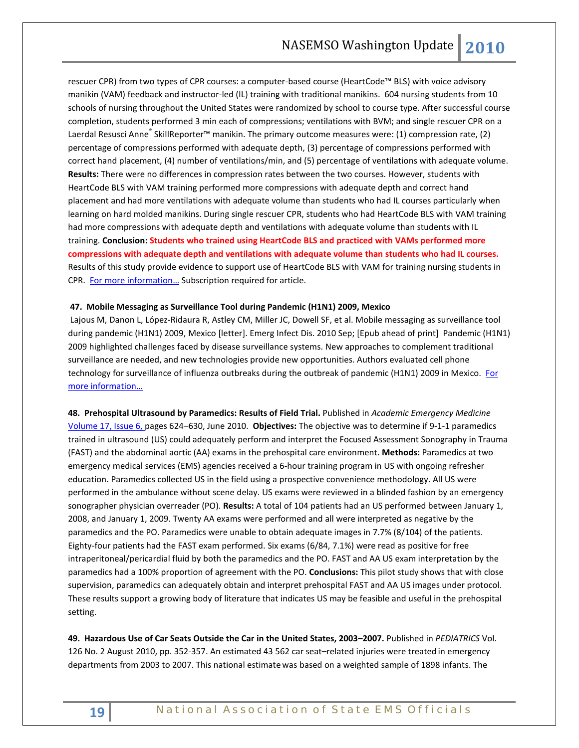rescuer CPR) from two types of CPR courses: a computer-based course (HeartCode™ BLS) with voice advisory manikin (VAM) feedback and instructor-led (IL) training with traditional manikins. 604 nursing students from 10 schools of nursing throughout the United States were randomized by school to course type. After successful course completion, students performed 3 min each of compressions; ventilations with BVM; and single rescuer CPR on a Laerdal Resusci Anne® SkillReporter™ manikin. The primary outcome measures were: (1) compression rate, (2) percentage of compressions performed with adequate depth, (3) percentage of compressions performed with correct hand placement, (4) number of ventilations/min, and (5) percentage of ventilations with adequate volume. **Results:** There were no differences in compression rates between the two courses. However, students with HeartCode BLS with VAM training performed more compressions with adequate depth and correct hand placement and had more ventilations with adequate volume than students who had IL courses particularly when learning on hard molded manikins. During single rescuer CPR, students who had HeartCode BLS with VAM training had more compressions with adequate depth and ventilations with adequate volume than students with IL training. **Conclusion: Students who trained using HeartCode BLS and practiced with VAMs performed more compressions with adequate depth and ventilations with adequate volume than students who had IL courses.** Results of this study provide evidence to support use of HeartCode BLS with VAM for training nursing students in CPR. [For more information…](http://www.sciencedirect.com/science/journal/03009572) Subscription required for article.

#### **47. Mobile Messaging as Surveillance Tool during Pandemic (H1N1) 2009, Mexico**

Lajous M, Danon L, López-Ridaura R, Astley CM, Miller JC, Dowell SF, et al. Mobile messaging as surveillance tool during pandemic (H1N1) 2009, Mexico [letter]. Emerg Infect Dis. 2010 Sep; [Epub ahead of print] Pandemic (H1N1) 2009 highlighted challenges faced by disease surveillance systems. New approaches to complement traditional surveillance are needed, and new technologies provide new opportunities. Authors evaluated cell phone technology for surveillance of influenza outbreaks during the outbreak of pandemic (H1N1) 2009 in Mexico. For [more information…](http://www.cdc.gov/eid/content/16/9/PDFs/10-0671.pdf)

**48. Prehospital Ultrasound by Paramedics: Results of Field Trial.** Published in *Academic Emergency Medicine* [Volume 17, Issue 6, p](http://onlinelibrary.wiley.com/doi/10.1111/acem.2010.17.issue-6/issuetoc)ages 624–630, June 2010. **Objectives:** The objective was to determine if 9-1-1 paramedics trained in ultrasound (US) could adequately perform and interpret the Focused Assessment Sonography in Trauma (FAST) and the abdominal aortic (AA) exams in the prehospital care environment. **Methods:** Paramedics at two emergency medical services (EMS) agencies received a 6-hour training program in US with ongoing refresher education. Paramedics collected US in the field using a prospective convenience methodology. All US were performed in the ambulance without scene delay. US exams were reviewed in a blinded fashion by an emergency sonographer physician overreader (PO). **Results:** A total of 104 patients had an US performed between January 1, 2008, and January 1, 2009. Twenty AA exams were performed and all were interpreted as negative by the paramedics and the PO. Paramedics were unable to obtain adequate images in 7.7% (8/104) of the patients. Eighty-four patients had the FAST exam performed. Six exams (6/84, 7.1%) were read as positive for free intraperitoneal/pericardial fluid by both the paramedics and the PO. FAST and AA US exam interpretation by the paramedics had a 100% proportion of agreement with the PO. **Conclusions:** This pilot study shows that with close supervision, paramedics can adequately obtain and interpret prehospital FAST and AA US images under protocol. These results support a growing body of literature that indicates US may be feasible and useful in the prehospital setting.

**49. Hazardous Use of Car Seats Outside the Car in the United States, 2003–2007.** Published in *PEDIATRICS* Vol. 126 No. 2 August 2010, pp. 352-357. An estimated 43 562 car seat–related injuries were treated in emergency departments from 2003 to 2007. This national estimate was based on a weighted sample of 1898 infants. The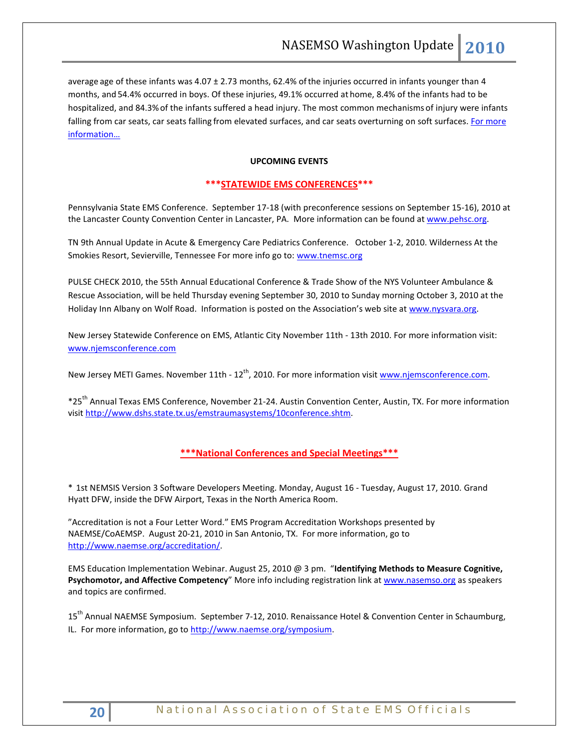average age of these infants was 4.07 ± 2.73 months, 62.4% ofthe injuries occurred in infants younger than 4 months, and 54.4% occurred in boys. Of these injuries, 49.1% occurred at home, 8.4% of the infants had to be hospitalized, and 84.3%of the infants suffered a head injury. The most common mechanisms of injury were infants falling from car seats, car seats falling from elevated surfaces, and car seats overturning on soft surfaces. For more [information…](http://pediatrics.aappublications.org/cgi/content/abstract/126/2/352)

## **UPCOMING EVENTS**

### **\*\*\*STATEWIDE EMS CONFERENCES\*\*\***

Pennsylvania State EMS Conference. September 17-18 (with preconference sessions on September 15-16), 2010 at the Lancaster County Convention Center in Lancaster, PA. More information can be found a[t www.pehsc.org.](http://www.pehsc.org/)

TN 9th Annual Update in Acute & Emergency Care Pediatrics Conference. October 1-2, 2010. Wilderness At the Smokies Resort, Sevierville, Tennessee For more info go to: [www.tnemsc.org](http://www.tnemsc.org/)

PULSE CHECK 2010, the 55th Annual Educational Conference & Trade Show of the NYS Volunteer Ambulance & Rescue Association, will be held Thursday evening September 30, 2010 to Sunday morning October 3, 2010 at the Holiday Inn Albany on Wolf Road. Information is posted on the Association's web site at [www.nysvara.org.](http://www.nysvara.org/)

New Jersey Statewide Conference on EMS, Atlantic City November 11th - 13th 2010. For more information visit: [www.njemsconference.com](http://www.njemsconference.com/)

New Jersey METI Games. November 11th - 12<sup>th</sup>, 2010. For more information visit [www.njemsconference.com.](http://www.njemsconference.com/)

\*25th Annual Texas EMS Conference, November 21-24. Austin Convention Center, Austin, TX. For more information visi[t http://www.dshs.state.tx.us/emstraumasystems/10conference.shtm.](http://www.dshs.state.tx.us/emstraumasystems/10conference.shtm)

# **\*\*\*National Conferences and Special Meetings\*\*\***

\* 1st NEMSIS Version 3 Software Developers Meeting. Monday, August 16 - Tuesday, August 17, 2010. Grand Hyatt DFW, inside the DFW Airport, Texas in the North America Room.

"Accreditation is not a Four Letter Word." EMS Program Accreditation Workshops presented by NAEMSE/CoAEMSP. August 20-21, 2010 in San Antonio, TX. For more information, go to [http://www.naemse.org/accreditation/.](http://www.naemse.org/accreditation/)

EMS Education Implementation Webinar. August 25, 2010 @ 3 pm. "**Identifying Methods to Measure Cognitive, Psychomotor, and Affective Competency**" More info including registration link at [www.nasemso.org](http://www.nasemso.org/) as speakers and topics are confirmed.

15<sup>th</sup> Annual NAEMSE Symposium. September 7-12, 2010. Renaissance Hotel & Convention Center in Schaumburg, IL. For more information, go to http://www.naemse.org/symposium.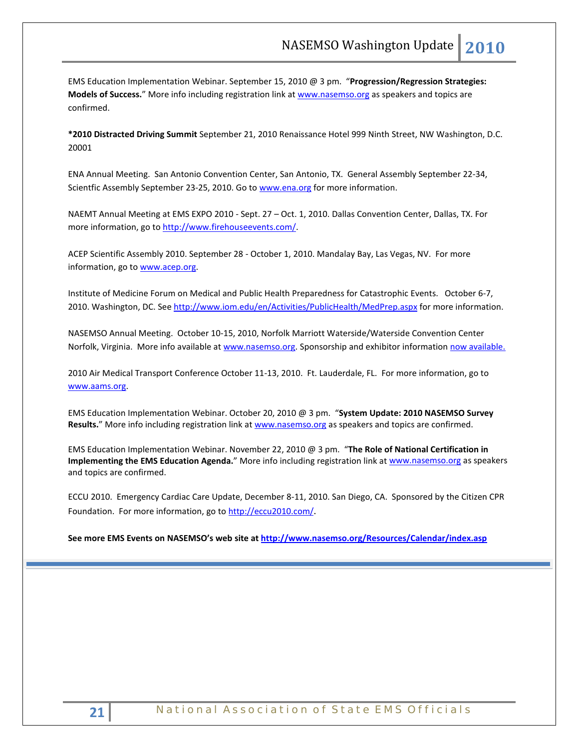EMS Education Implementation Webinar. September 15, 2010 @ 3 pm. "**Progression/Regression Strategies: Models of Success.**" More info including registration link at [www.nasemso.org](http://www.nasemso.org/) as speakers and topics are confirmed.

**\*2010 Distracted Driving Summit** September 21, 2010 Renaissance Hotel 999 Ninth Street, NW Washington, D.C. 20001

ENA Annual Meeting. San Antonio Convention Center, San Antonio, TX. General Assembly September 22-34, Scientfic Assembly September 23-25, 2010. Go t[o www.ena.org](http://www.ena.org/) for more information.

NAEMT Annual Meeting at EMS EXPO 2010 - Sept. 27 – Oct. 1, 2010. Dallas Convention Center, Dallas, TX. For more information, go to [http://www.firehouseevents.com/.](http://www.firehouseevents.com/)

ACEP Scientific Assembly 2010. September 28 - October 1, 2010. Mandalay Bay, Las Vegas, NV. For more information, go to www.acep.org.

Institute of Medicine Forum on Medical and Public Health Preparedness for Catastrophic Events. October 6-7, 2010. Washington, DC. See<http://www.iom.edu/en/Activities/PublicHealth/MedPrep.aspx> for more information.

NASEMSO Annual Meeting. October 10-15, 2010, Norfolk Marriott Waterside/Waterside Convention Center Norfolk, Virginia. More info available at [www.nasemso.org.](http://www.nasemso.org/) Sponsorship and exhibitor information [now available.](http://www.nasemso.org/Meetings/Annual/NASEMSO2010Sponsors-Exhibitors.asp)

2010 Air Medical Transport Conference October 11-13, 2010. Ft. Lauderdale, FL. For more information, go to [www.aams.org.](http://www.aams.org/) 

EMS Education Implementation Webinar. October 20, 2010 @ 3 pm. "**System Update: 2010 NASEMSO Survey**  Results." More info including registration link at [www.nasemso.org](http://www.nasemso.org/) as speakers and topics are confirmed.

EMS Education Implementation Webinar. November 22, 2010 @ 3 pm. "**The Role of National Certification in Implementing the EMS Education Agenda.**" More info including registration link at [www.nasemso.org](http://www.nasemso.org/) as speakers and topics are confirmed.

ECCU 2010. Emergency Cardiac Care Update, December 8-11, 2010. San Diego, CA. Sponsored by the Citizen CPR Foundation. For more information, go t[o http://eccu2010.com/.](http://eccu2010.com/)

**See more EMS Events on NASEMSO's web site at<http://www.nasemso.org/Resources/Calendar/index.asp>**